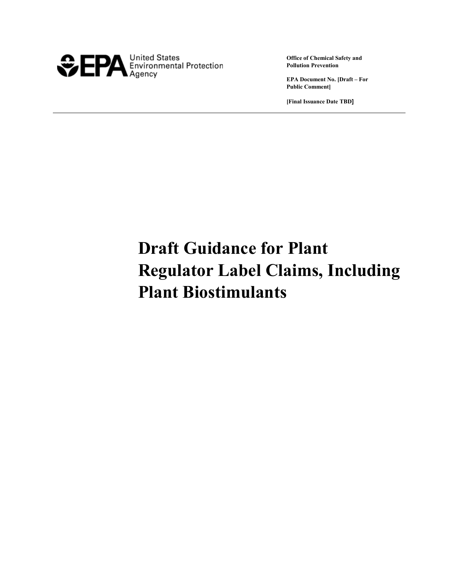

**Office of Chemical Safety and Pollution Prevention**

**EPA Document No. [Draft – For Public Comment]**

**[Final Issuance Date TBD]**

# **Draft Guidance for Plant Regulator Label Claims, Including Plant Biostimulants**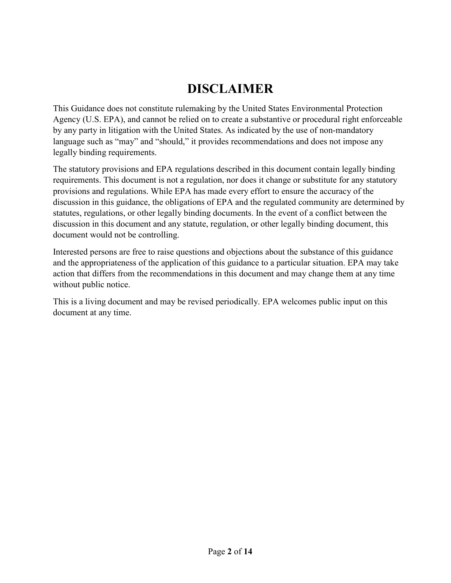# **DISCLAIMER**

This Guidance does not constitute rulemaking by the United States Environmental Protection Agency (U.S. EPA), and cannot be relied on to create a substantive or procedural right enforceable by any party in litigation with the United States. As indicated by the use of non-mandatory language such as "may" and "should," it provides recommendations and does not impose any legally binding requirements.

The statutory provisions and EPA regulations described in this document contain legally binding requirements. This document is not a regulation, nor does it change or substitute for any statutory provisions and regulations. While EPA has made every effort to ensure the accuracy of the discussion in this guidance, the obligations of EPA and the regulated community are determined by statutes, regulations, or other legally binding documents. In the event of a conflict between the discussion in this document and any statute, regulation, or other legally binding document, this document would not be controlling.

Interested persons are free to raise questions and objections about the substance of this guidance and the appropriateness of the application of this guidance to a particular situation. EPA may take action that differs from the recommendations in this document and may change them at any time without public notice.

This is a living document and may be revised periodically. EPA welcomes public input on this document at any time.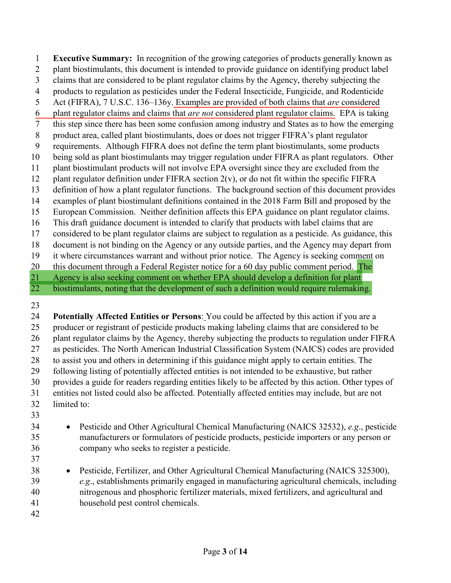**Executive Summary:** In recognition of the growing categories of products generally known as plant biostimulants, this document is intended to provide guidance on identifying product label claims that are considered to be plant regulator claims by the Agency, thereby subjecting the products to regulation as pesticides under the Federal Insecticide, Fungicide, and Rodenticide Act (FIFRA), 7 U.S.C. 136–136y. Examples are provided of both claims that *are* considered plant regulator claims and claims that *are not* considered plant regulator claims. EPA is taking this step since there has been some confusion among industry and States as to how the emerging product area, called plant biostimulants, does or does not trigger FIFRA's plant regulator requirements. Although FIFRA does not define the term plant biostimulants, some products being sold as plant biostimulants may trigger regulation under FIFRA as plant regulators. Other plant biostimulant products will not involve EPA oversight since they are excluded from the 12 plant regulator definition under FIFRA section  $2(v)$ , or do not fit within the specific FIFRA definition of how a plant regulator functions. The background section of this document provides examples of plant biostimulant definitions contained in the 2018 Farm Bill and proposed by the European Commission. Neither definition affects this EPA guidance on plant regulator claims. This draft guidance document is intended to clarify that products with label claims that are considered to be plant regulator claims are subject to regulation as a pesticide. As guidance, this document is not binding on the Agency or any outside parties, and the Agency may depart from it where circumstances warrant and without prior notice. The Agency is seeking comment on 20 this document through a Federal Register notice for a 60 day public comment period. The Agency is also seeking comment on whether EPA should develop a definition for plant 22 biostimulants, noting that the development of such a definition would require rulemaking.

 **Potentially Affected Entities or Persons**: You could be affected by this action if you are a producer or registrant of pesticide products making labeling claims that are considered to be plant regulator claims by the Agency, thereby subjecting the products to regulation under FIFRA as pesticides. The North American Industrial Classification System (NAICS) codes are provided to assist you and others in determining if this guidance might apply to certain entities. The following listing of potentially affected entities is not intended to be exhaustive, but rather provides a guide for readers regarding entities likely to be affected by this action. Other types of entities not listed could also be affected. Potentially affected entities may include, but are not limited to:

- 
- Pesticide and Other Agricultural Chemical Manufacturing (NAICS 32532), *e.g*., pesticide manufacturers or formulators of pesticide products, pesticide importers or any person or company who seeks to register a pesticide.
- Pesticide, Fertilizer, and Other Agricultural Chemical Manufacturing (NAICS 325300), *e.g*., establishments primarily engaged in manufacturing agricultural chemicals, including nitrogenous and phosphoric fertilizer materials, mixed fertilizers, and agricultural and household pest control chemicals.
-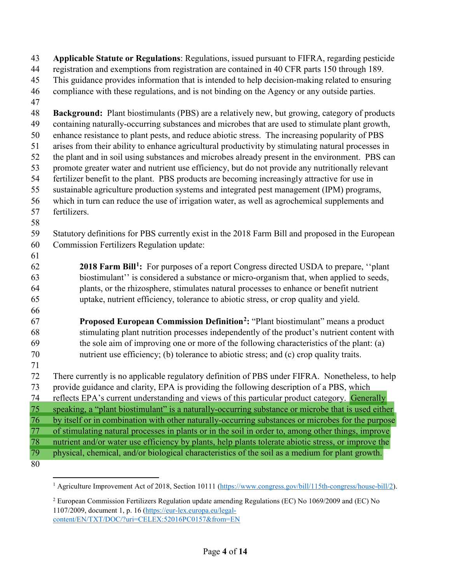**Applicable Statute or Regulations**: Regulations, issued pursuant to FIFRA, regarding pesticide registration and exemptions from registration are contained in 40 CFR parts 150 through 189. This guidance provides information that is intended to help decision-making related to ensuring compliance with these regulations, and is not binding on the Agency or any outside parties. **Background:** Plant biostimulants (PBS) are a relatively new, but growing, category of products containing naturally-occurring substances and microbes that are used to stimulate plant growth, enhance resistance to plant pests, and reduce abiotic stress. The increasing popularity of PBS arises from their ability to enhance agricultural productivity by stimulating natural processes in the plant and in soil using substances and microbes already present in the environment. PBS can promote greater water and nutrient use efficiency, but do not provide any nutritionally relevant fertilizer benefit to the plant. PBS products are becoming increasingly attractive for use in sustainable agriculture production systems and integrated pest management (IPM) programs, which in turn can reduce the use of irrigation water, as well as agrochemical supplements and fertilizers. Statutory definitions for PBS currently exist in the 2018 Farm Bill and proposed in the European Commission Fertilizers Regulation update: **[1](#page-3-0)8 Farm Bill<sup>1</sup>:** For purposes of a report Congress directed USDA to prepare, "plant" biostimulant'' is considered a substance or micro-organism that, when applied to seeds, plants, or the rhizosphere, stimulates natural processes to enhance or benefit nutrient uptake, nutrient efficiency, tolerance to abiotic stress, or crop quality and yield. **Proposed European Commission Definition<sup>[2](#page-3-1)</sup>:** "Plant biostimulant" means a product stimulating plant nutrition processes independently of the product's nutrient content with the sole aim of improving one or more of the following characteristics of the plant: (a) nutrient use efficiency; (b) tolerance to abiotic stress; and (c) crop quality traits. There currently is no applicable regulatory definition of PBS under FIFRA. Nonetheless, to help provide guidance and clarity, EPA is providing the following description of a PBS, which reflects EPA's current understanding and views of this particular product category. Generally speaking, a "plant biostimulant" is a naturally-occurring substance or microbe that is used either by itself or in combination with other naturally-occurring substances or microbes for the purpose of stimulating natural processes in plants or in the soil in order to, among other things, improve nutrient and/or water use efficiency by plants, help plants tolerate abiotic stress, or improve the physical, chemical, and/or biological characteristics of the soil as a medium for plant growth. 

<span id="page-3-1"></span> European Commission Fertilizers Regulation update amending Regulations (EC) No 1069/2009 and (EC) No 1107/2009, document 1, p. 16 [\(https://eur-lex.europa.eu/legal](https://eur-lex.europa.eu/legal-content/EN/TXT/DOC/?uri=CELEX:52016PC0157&from=EN)[content/EN/TXT/DOC/?uri=CELEX:52016PC0157&from=EN](https://eur-lex.europa.eu/legal-content/EN/TXT/DOC/?uri=CELEX:52016PC0157&from=EN)

<span id="page-3-0"></span><sup>&</sup>lt;sup>1</sup> Agriculture Improvement Act of 2018, Section 10111 [\(https://www.congress.gov/bill/115th-congress/house-bill/2\)](https://www.congress.gov/bill/115th-congress/house-bill/2).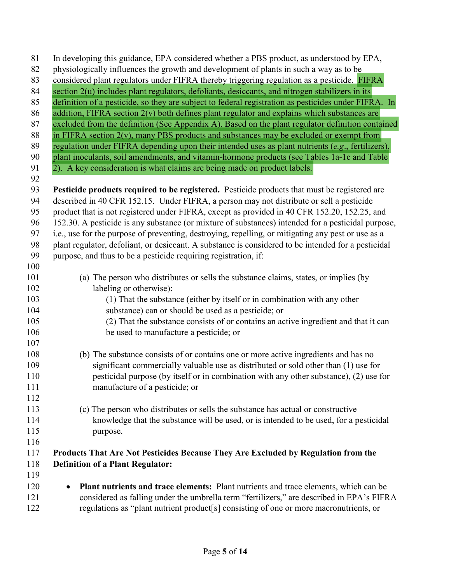| 81  | In developing this guidance, EPA considered whether a PBS product, as understood by EPA,             |
|-----|------------------------------------------------------------------------------------------------------|
| 82  | physiologically influences the growth and development of plants in such a way as to be               |
| 83  | considered plant regulators under FIFRA thereby triggering regulation as a pesticide. FIFRA          |
| 84  | section 2(u) includes plant regulators, defoliants, desiccants, and nitrogen stabilizers in its      |
| 85  | definition of a pesticide, so they are subject to federal registration as pesticides under FIFRA. In |
| 86  | addition, FIFRA section 2(v) both defines plant regulator and explains which substances are          |
| 87  | excluded from the definition (See Appendix A). Based on the plant regulator definition contained     |
| 88  | in FIFRA section $2(v)$ , many PBS products and substances may be excluded or exempt from            |
| 89  | regulation under FIFRA depending upon their intended uses as plant nutrients (e.g., fertilizers),    |
| 90  | plant inoculants, soil amendments, and vitamin-hormone products (see Tables 1a-1c and Table          |
| 91  | 2). A key consideration is what claims are being made on product labels.                             |
| 92  |                                                                                                      |
| 93  | Pesticide products required to be registered. Pesticide products that must be registered are         |
| 94  | described in 40 CFR 152.15. Under FIFRA, a person may not distribute or sell a pesticide             |
| 95  | product that is not registered under FIFRA, except as provided in 40 CFR 152.20, 152.25, and         |
| 96  | 152.30. A pesticide is any substance (or mixture of substances) intended for a pesticidal purpose,   |
| 97  | i.e., use for the purpose of preventing, destroying, repelling, or mitigating any pest or use as a   |
| 98  | plant regulator, defoliant, or desiccant. A substance is considered to be intended for a pesticidal  |
| 99  | purpose, and thus to be a pesticide requiring registration, if:                                      |
| 100 |                                                                                                      |
| 101 | (a) The person who distributes or sells the substance claims, states, or implies (by                 |
| 102 | labeling or otherwise):                                                                              |
| 103 | (1) That the substance (either by itself or in combination with any other                            |
| 104 | substance) can or should be used as a pesticide; or                                                  |
| 105 | (2) That the substance consists of or contains an active ingredient and that it can                  |
| 106 | be used to manufacture a pesticide; or                                                               |
| 107 |                                                                                                      |
| 108 | (b) The substance consists of or contains one or more active ingredients and has no                  |
| 109 | significant commercially valuable use as distributed or sold other than (1) use for                  |
| 110 | pesticidal purpose (by itself or in combination with any other substance), (2) use for               |
| 111 | manufacture of a pesticide; or                                                                       |
| 112 |                                                                                                      |
| 113 | (c) The person who distributes or sells the substance has actual or constructive                     |
| 114 | knowledge that the substance will be used, or is intended to be used, for a pesticidal               |
| 115 | purpose.                                                                                             |
| 116 |                                                                                                      |
| 117 | Products That Are Not Pesticides Because They Are Excluded by Regulation from the                    |
| 118 | <b>Definition of a Plant Regulator:</b>                                                              |
| 119 |                                                                                                      |
| 120 | Plant nutrients and trace elements: Plant nutrients and trace elements, which can be<br>$\bullet$    |
| 121 | considered as falling under the umbrella term "fertilizers," are described in EPA's FIFRA            |
| 122 | regulations as "plant nutrient product[s] consisting of one or more macronutrients, or               |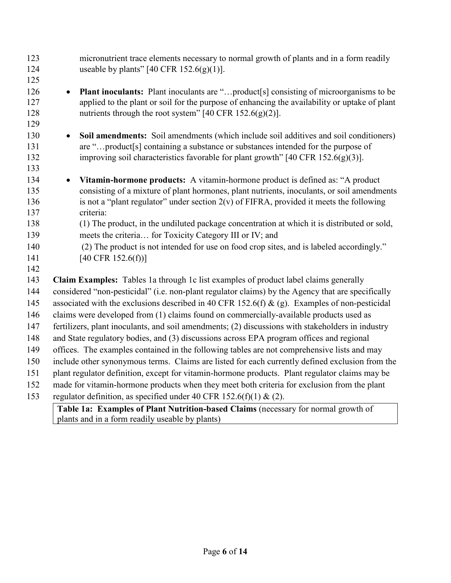| 123<br>124               | micronutrient trace elements necessary to normal growth of plants and in a form readily<br>useable by plants" [40 CFR $152.6(g)(1)$ ].                                                                                                                                    |
|--------------------------|---------------------------------------------------------------------------------------------------------------------------------------------------------------------------------------------------------------------------------------------------------------------------|
| 125                      |                                                                                                                                                                                                                                                                           |
| 126<br>127<br>128<br>129 | <b>Plant inoculants:</b> Plant inoculants are "product[s] consisting of microorganisms to be<br>$\bullet$<br>applied to the plant or soil for the purpose of enhancing the availability or uptake of plant<br>nutrients through the root system" [40 CFR $152.6(g)(2)$ ]. |
| 130                      | Soil amendments: Soil amendments (which include soil additives and soil conditioners)<br>$\bullet$                                                                                                                                                                        |
| 131                      | are "product[s] containing a substance or substances intended for the purpose of                                                                                                                                                                                          |
| 132                      | improving soil characteristics favorable for plant growth" $[40 \text{ CFR } 152.6(g)(3)]$ .                                                                                                                                                                              |
| 133                      |                                                                                                                                                                                                                                                                           |
| 134                      | Vitamin-hormone products: A vitamin-hormone product is defined as: "A product<br>$\bullet$                                                                                                                                                                                |
| 135                      | consisting of a mixture of plant hormones, plant nutrients, inoculants, or soil amendments                                                                                                                                                                                |
| 136                      | is not a "plant regulator" under section $2(v)$ of FIFRA, provided it meets the following                                                                                                                                                                                 |
| 137                      | criteria:                                                                                                                                                                                                                                                                 |
| 138                      | (1) The product, in the undiluted package concentration at which it is distributed or sold,                                                                                                                                                                               |
| 139<br>140               | meets the criteria for Toxicity Category III or IV; and<br>(2) The product is not intended for use on food crop sites, and is labeled accordingly."                                                                                                                       |
| 141                      | [40 CFR $152.6(f)$ ]                                                                                                                                                                                                                                                      |
| 142                      |                                                                                                                                                                                                                                                                           |
| 143                      | Claim Examples: Tables 1a through 1c list examples of product label claims generally                                                                                                                                                                                      |
| 144                      | considered "non-pesticidal" (i.e. non-plant regulator claims) by the Agency that are specifically                                                                                                                                                                         |
| 145                      | associated with the exclusions described in 40 CFR 152.6(f) & (g). Examples of non-pesticidal                                                                                                                                                                             |
| 146                      | claims were developed from (1) claims found on commercially-available products used as                                                                                                                                                                                    |
| 147                      | fertilizers, plant inoculants, and soil amendments; (2) discussions with stakeholders in industry                                                                                                                                                                         |
| 148                      | and State regulatory bodies, and (3) discussions across EPA program offices and regional                                                                                                                                                                                  |
| 149                      | offices. The examples contained in the following tables are not comprehensive lists and may                                                                                                                                                                               |
| 150                      | include other synonymous terms. Claims are listed for each currently defined exclusion from the                                                                                                                                                                           |
| 151                      | plant regulator definition, except for vitamin-hormone products. Plant regulator claims may be                                                                                                                                                                            |
| 152                      | made for vitamin-hormone products when they meet both criteria for exclusion from the plant                                                                                                                                                                               |
| 153                      | regulator definition, as specified under 40 CFR 152.6(f)(1) & (2).                                                                                                                                                                                                        |
|                          | Table 1a: Examples of Plant Nutrition-based Claims (necessary for normal growth of                                                                                                                                                                                        |
|                          | plants and in a form readily useable by plants)                                                                                                                                                                                                                           |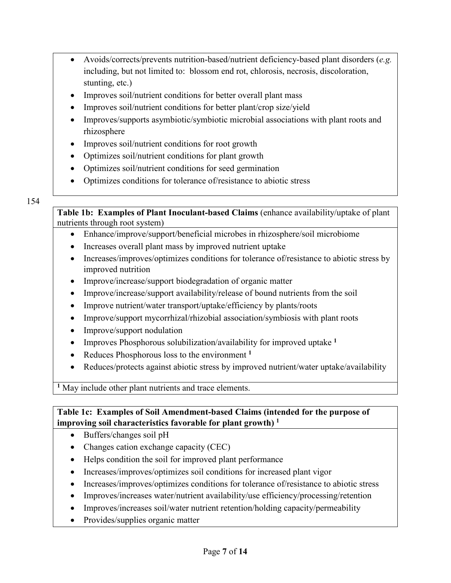- Avoids/corrects/prevents nutrition-based/nutrient deficiency-based plant disorders (*e.g.* including, but not limited to: blossom end rot, chlorosis, necrosis, discoloration, stunting, etc.)
- Improves soil/nutrient conditions for better overall plant mass
- Improves soil/nutrient conditions for better plant/crop size/yield
- Improves/supports asymbiotic/symbiotic microbial associations with plant roots and rhizosphere
- Improves soil/nutrient conditions for root growth
- Optimizes soil/nutrient conditions for plant growth
- Optimizes soil/nutrient conditions for seed germination
- Optimizes conditions for tolerance of/resistance to abiotic stress

#### 154

**Table 1b: Examples of Plant Inoculant-based Claims** (enhance availability/uptake of plant nutrients through root system)

- Enhance/improve/support/beneficial microbes in rhizosphere/soil microbiome
- Increases overall plant mass by improved nutrient uptake
- Increases/improves/optimizes conditions for tolerance of/resistance to abiotic stress by improved nutrition
- Improve/increase/support biodegradation of organic matter
- Improve/increase/support availability/release of bound nutrients from the soil
- Improve nutrient/water transport/uptake/efficiency by plants/roots
- Improve/support mycorrhizal/rhizobial association/symbiosis with plant roots
- Improve/support nodulation
- Improves Phosphorous solubilization/availability for improved uptake **<sup>1</sup>**
- Reduces Phosphorous loss to the environment **<sup>1</sup>**
- Reduces/protects against abiotic stress by improved nutrient/water uptake/availability

**<sup>1</sup>** May include other plant nutrients and trace elements.

**Table 1c: Examples of Soil Amendment-based Claims (intended for the purpose of improving soil characteristics favorable for plant growth) 1**

- Buffers/changes soil pH
- Changes cation exchange capacity (CEC)
- Helps condition the soil for improved plant performance
- Increases/improves/optimizes soil conditions for increased plant vigor
- Increases/improves/optimizes conditions for tolerance of/resistance to abiotic stress
- Improves/increases water/nutrient availability/use efficiency/processing/retention
- Improves/increases soil/water nutrient retention/holding capacity/permeability
- Provides/supplies organic matter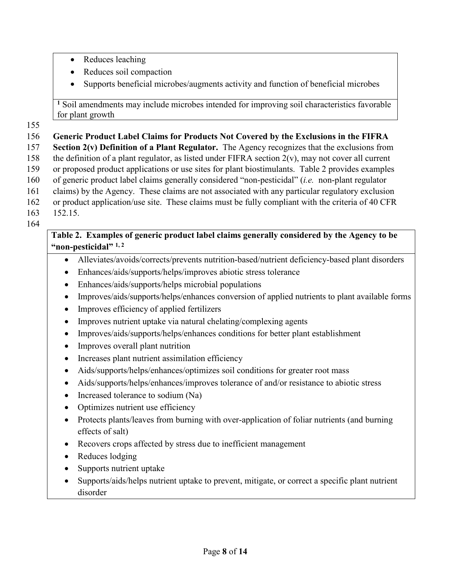- Reduces leaching
- Reduces soil compaction
- Supports beneficial microbes/augments activity and function of beneficial microbes

**<sup>1</sup>** Soil amendments may include microbes intended for improving soil characteristics favorable for plant growth

## 155

#### 156 **Generic Product Label Claims for Products Not Covered by the Exclusions in the FIFRA**  157 **Section 2(v) Definition of a Plant Regulator.** The Agency recognizes that the exclusions from 158 the definition of a plant regulator, as listed under FIFRA section  $2(v)$ , may not cover all current 159 or proposed product applications or use sites for plant biostimulants. Table 2 provides examples 160 of generic product label claims generally considered "non-pesticidal" (*i.e.* non-plant regulator 161 claims) by the Agency. These claims are not associated with any particular regulatory exclusion 162 or product application/use site. These claims must be fully compliant with the criteria of 40 CFR 163 152.15.

164

## **Table 2. Examples of generic product label claims generally considered by the Agency to be "non-pesticidal" 1, 2**

- Alleviates/avoids/corrects/prevents nutrition-based/nutrient deficiency-based plant disorders
- Enhances/aids/supports/helps/improves abiotic stress tolerance
- Enhances/aids/supports/helps microbial populations
- Improves/aids/supports/helps/enhances conversion of applied nutrients to plant available forms
- Improves efficiency of applied fertilizers
- Improves nutrient uptake via natural chelating/complexing agents
- Improves/aids/supports/helps/enhances conditions for better plant establishment
- Improves overall plant nutrition
- Increases plant nutrient assimilation efficiency
- Aids/supports/helps/enhances/optimizes soil conditions for greater root mass
- Aids/supports/helps/enhances/improves tolerance of and/or resistance to abiotic stress
- Increased tolerance to sodium (Na)
- Optimizes nutrient use efficiency
- Protects plants/leaves from burning with over-application of foliar nutrients (and burning effects of salt)
- Recovers crops affected by stress due to inefficient management
- Reduces lodging
- Supports nutrient uptake
- Supports/aids/helps nutrient uptake to prevent, mitigate, or correct a specific plant nutrient disorder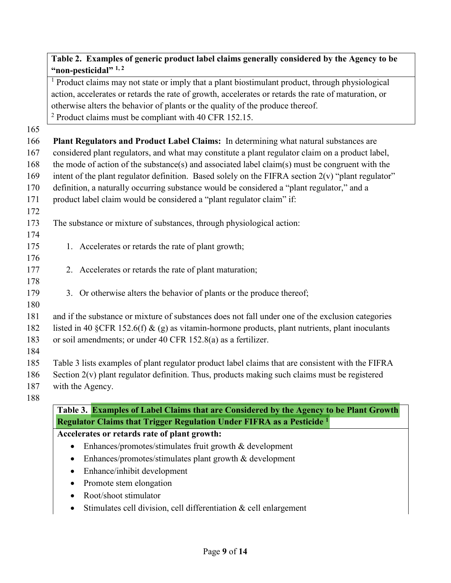## **Table 2. Examples of generic product label claims generally considered by the Agency to be "non-pesticidal" 1, 2**

<sup>1</sup> Product claims may not state or imply that a plant biostimulant product, through physiological action, accelerates or retards the rate of growth, accelerates or retards the rate of maturation, or otherwise alters the behavior of plants or the quality of the produce thereof. <sup>2</sup> Product claims must be compliant with 40 CFR 152.15.

165

| 102 |                                                                                                      |
|-----|------------------------------------------------------------------------------------------------------|
| 166 | Plant Regulators and Product Label Claims: In determining what natural substances are                |
| 167 | considered plant regulators, and what may constitute a plant regulator claim on a product label,     |
| 168 | the mode of action of the substance(s) and associated label claim(s) must be congruent with the      |
| 169 | intent of the plant regulator definition. Based solely on the FIFRA section $2(v)$ "plant regulator" |
| 170 | definition, a naturally occurring substance would be considered a "plant regulator," and a           |
| 171 | product label claim would be considered a "plant regulator claim" if:                                |
| 172 |                                                                                                      |
| 173 | The substance or mixture of substances, through physiological action:                                |
| 174 |                                                                                                      |
| 175 | 1. Accelerates or retards the rate of plant growth;                                                  |
| 176 |                                                                                                      |
| 177 | 2. Accelerates or retards the rate of plant maturation;                                              |
| 178 |                                                                                                      |
| 179 | 3. Or otherwise alters the behavior of plants or the produce thereof;                                |
| 180 |                                                                                                      |
| 181 | and if the substance or mixture of substances does not fall under one of the exclusion categories    |
| 182 | listed in 40 §CFR 152.6(f) & (g) as vitamin-hormone products, plant nutrients, plant inoculants      |
| 183 | or soil amendments; or under 40 CFR 152.8(a) as a fertilizer.                                        |
| 184 |                                                                                                      |
| 185 | Table 3 lists examples of plant regulator product label claims that are consistent with the FIFRA    |
| 186 | Section $2(v)$ plant regulator definition. Thus, products making such claims must be registered      |
| 187 | with the Agency.                                                                                     |
| 188 |                                                                                                      |
|     | Table 3. Examples of Label Claims that are Considered by the Agency to be Plant Growth               |
|     | Regulator Claims that Trigger Regulation Under FIFRA as a Pesticide <sup>1</sup>                     |

**Accelerates or retards rate of plant growth:**

- Enhances/promotes/stimulates fruit growth & development
- Enhances/promotes/stimulates plant growth & development
- Enhance/inhibit development
- Promote stem elongation
- Root/shoot stimulator
- Stimulates cell division, cell differentiation & cell enlargement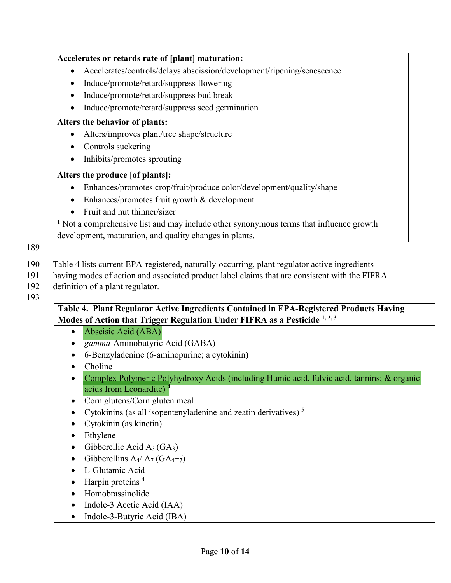# **Accelerates or retards rate of [plant] maturation:** • Accelerates/controls/delays abscission/development/ripening/senescence • Induce/promote/retard/suppress flowering • Induce/promote/retard/suppress bud break • Induce/promote/retard/suppress seed germination **Alters the behavior of plants:** • Alters/improves plant/tree shape/structure • Controls suckering • Inhibits/promotes sprouting **Alters the produce [of plants]:** • Enhances/promotes crop/fruit/produce color/development/quality/shape • Enhances/promotes fruit growth & development • Fruit and nut thinner/sizer **<sup>1</sup>** Not a comprehensive list and may include other synonymous terms that influence growth development, maturation, and quality changes in plants. 190 Table 4 lists current EPA-registered, naturally-occurring, plant regulator active ingredients 191 having modes of action and associated product label claims that are consistent with the FIFRA 192 definition of a plant regulator. **Table** 4**. Plant Regulator Active Ingredients Contained in EPA-Registered Products Having**

**Modes of Action that Trigger Regulation Under FIFRA as a Pesticide <sup>1, 2, 3</sup>** 

- Abscisic Acid (ABA)
- *gamma-*Aminobutyric Acid (GABA)
- 6-Benzyladenine (6-aminopurine; a cytokinin)
- Choline

189

193

- Complex Polymeric Polyhydroxy Acids (including Humic acid, fulvic acid, tannins; & organic acids from Leonardite) 4
- Corn glutens/Corn gluten meal
- Cytokinins (as all isopentenyladenine and zeatin derivatives)<sup>5</sup>
- Cytokinin (as kinetin)
- Ethylene
- Gibberellic Acid  $A_3(GA_3)$
- Gibberellins  $A_4/A_7$  (G $A_4+_{7}$ )
- L-Glutamic Acid
- Harpin proteins<sup>4</sup>
- Homobrassinolide
- Indole-3 Acetic Acid (IAA)
- Indole-3-Butyric Acid (IBA)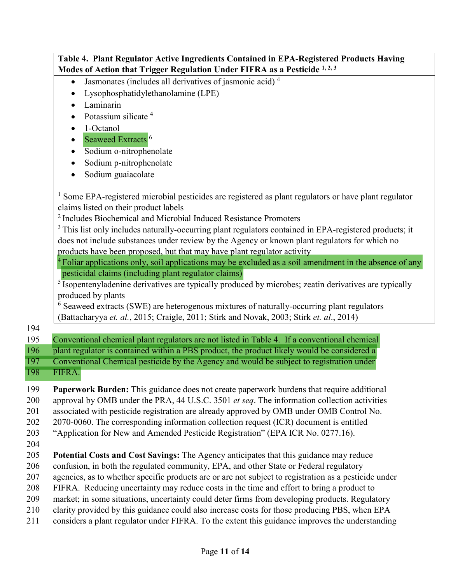|            | Table 4. Plant Regulator Active Ingredients Contained in EPA-Registered Products Having                                                                                                                                                   |
|------------|-------------------------------------------------------------------------------------------------------------------------------------------------------------------------------------------------------------------------------------------|
|            | Modes of Action that Trigger Regulation Under FIFRA as a Pesticide 1, 2, 3                                                                                                                                                                |
|            | Jasmonates (includes all derivatives of jasmonic acid) <sup>4</sup><br>$\bullet$                                                                                                                                                          |
|            | Lysophosphatidylethanolamine (LPE)                                                                                                                                                                                                        |
|            | Laminarin                                                                                                                                                                                                                                 |
|            | Potassium silicate <sup>4</sup>                                                                                                                                                                                                           |
|            | 1-Octanol                                                                                                                                                                                                                                 |
|            | Seaweed Extracts <sup>6</sup><br>$\bullet$                                                                                                                                                                                                |
|            | Sodium o-nitrophenolate<br>$\bullet$                                                                                                                                                                                                      |
|            | Sodium p-nitrophenolate                                                                                                                                                                                                                   |
|            | Sodium guaiacolate<br>$\bullet$                                                                                                                                                                                                           |
|            | <sup>1</sup> Some EPA-registered microbial pesticides are registered as plant regulators or have plant regulator<br>claims listed on their product labels<br><sup>2</sup> Includes Biochemical and Microbial Induced Resistance Promoters |
|            | <sup>3</sup> This list only includes naturally-occurring plant regulators contained in EPA-registered products; it                                                                                                                        |
|            | does not include substances under review by the Agency or known plant regulators for which no                                                                                                                                             |
|            | products have been proposed, but that may have plant regulator activity                                                                                                                                                                   |
|            | Foliar applications only, soil applications may be excluded as a soil amendment in the absence of any                                                                                                                                     |
|            | pesticidal claims (including plant regulator claims)                                                                                                                                                                                      |
|            | <sup>5</sup> Isopentenyladenine derivatives are typically produced by microbes; zeatin derivatives are typically                                                                                                                          |
|            | produced by plants                                                                                                                                                                                                                        |
|            | $6$ Seaweed extracts (SWE) are heterogenous mixtures of naturally-occurring plant regulators                                                                                                                                              |
|            | (Battacharyya et. al., 2015; Craigle, 2011; Stirk and Novak, 2003; Stirk et. al., 2014)                                                                                                                                                   |
| 194        |                                                                                                                                                                                                                                           |
| 195        | Conventional chemical plant regulators are not listed in Table 4. If a conventional chemical                                                                                                                                              |
| 196        | plant regulator is contained within a PBS product, the product likely would be considered a                                                                                                                                               |
| 197        | Conventional Chemical pesticide by the Agency and would be subject to registration under                                                                                                                                                  |
| <b>198</b> | FIFRA.                                                                                                                                                                                                                                    |
| 199        | <b>Paperwork Burden:</b> This guidance does not create paperwork burdens that require additional                                                                                                                                          |
| 200        | approval by OMB under the PRA, 44 U.S.C. 3501 et seq. The information collection activities                                                                                                                                               |
| 201        | associated with pesticide registration are already approved by OMB under OMB Control No.                                                                                                                                                  |
| 202        | 2070-0060. The corresponding information collection request (ICR) document is entitled                                                                                                                                                    |
| 203        | "Application for New and Amended Pesticide Registration" (EPA ICR No. 0277.16).                                                                                                                                                           |
| 204        |                                                                                                                                                                                                                                           |
| 205        | Potential Costs and Cost Savings: The Agency anticipates that this guidance may reduce                                                                                                                                                    |
| 206        | confusion, in both the regulated community, EPA, and other State or Federal regulatory                                                                                                                                                    |
| 207        | agencies, as to whether specific products are or are not subject to registration as a pesticide under                                                                                                                                     |
| 208        | FIFRA. Reducing uncertainty may reduce costs in the time and effort to bring a product to                                                                                                                                                 |
| 209        | market; in some situations, uncertainty could deter firms from developing products. Regulatory                                                                                                                                            |
| 210        | clarity provided by this guidance could also increase costs for those producing PBS, when EPA                                                                                                                                             |
| 211        | considers a plant regulator under FIFRA. To the extent this guidance improves the understanding                                                                                                                                           |
|            |                                                                                                                                                                                                                                           |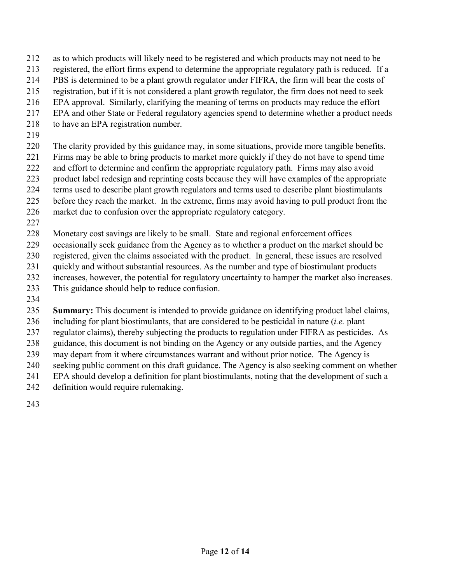- as to which products will likely need to be registered and which products may not need to be
- registered, the effort firms expend to determine the appropriate regulatory path is reduced. If a
- PBS is determined to be a plant growth regulator under FIFRA, the firm will bear the costs of
- registration, but if it is not considered a plant growth regulator, the firm does not need to seek
- EPA approval. Similarly, clarifying the meaning of terms on products may reduce the effort
- EPA and other State or Federal regulatory agencies spend to determine whether a product needs
- 218 to have an EPA registration number.
- 
- The clarity provided by this guidance may, in some situations, provide more tangible benefits. Firms may be able to bring products to market more quickly if they do not have to spend time and effort to determine and confirm the appropriate regulatory path. Firms may also avoid product label redesign and reprinting costs because they will have examples of the appropriate terms used to describe plant growth regulators and terms used to describe plant biostimulants before they reach the market. In the extreme, firms may avoid having to pull product from the
- market due to confusion over the appropriate regulatory category.
- 

Monetary cost savings are likely to be small. State and regional enforcement offices

occasionally seek guidance from the Agency as to whether a product on the market should be

- registered, given the claims associated with the product. In general, these issues are resolved
- quickly and without substantial resources. As the number and type of biostimulant products
- increases, however, the potential for regulatory uncertainty to hamper the market also increases.
- This guidance should help to reduce confusion.
- 

**Summary:** This document is intended to provide guidance on identifying product label claims,

including for plant biostimulants, that are considered to be pesticidal in nature (*i.e.* plant

regulator claims), thereby subjecting the products to regulation under FIFRA as pesticides. As

guidance, this document is not binding on the Agency or any outside parties, and the Agency

may depart from it where circumstances warrant and without prior notice. The Agency is

seeking public comment on this draft guidance. The Agency is also seeking comment on whether

EPA should develop a definition for plant biostimulants, noting that the development of such a

- definition would require rulemaking.
-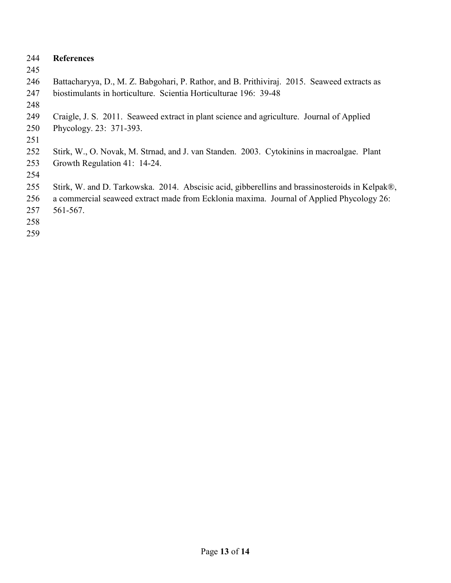#### **References**

- 
- Battacharyya, D., M. Z. Babgohari, P. Rathor, and B. Prithiviraj. 2015. Seaweed extracts as biostimulants in horticulture. Scientia Horticulturae 196: 39-48
- 
- Craigle, J. S. 2011. Seaweed extract in plant science and agriculture. Journal of Applied
- Phycology. 23: 371-393.
- 
- Stirk, W., O. Novak, M. Strnad, and J. van Standen. 2003. Cytokinins in macroalgae. Plant Growth Regulation 41: 14-24.
- 
- Stirk, W. and D. Tarkowska. 2014. Abscisic acid, gibberellins and brassinosteroids in Kelpak®,
- a commercial seaweed extract made from Ecklonia maxima. Journal of Applied Phycology 26: 561-567.
- 
-